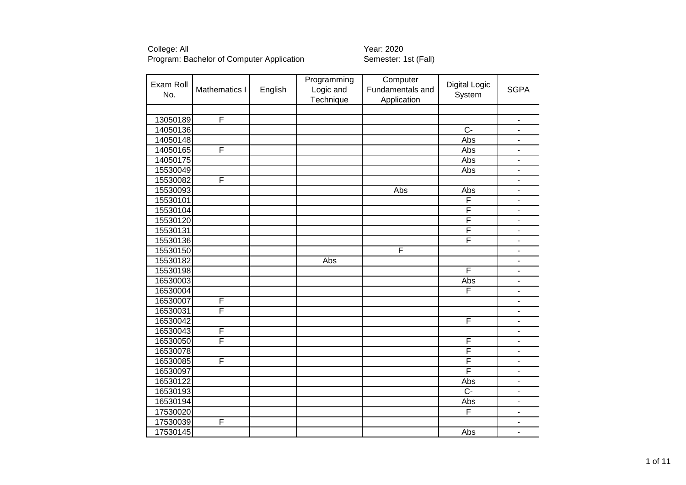| Exam Roll<br>No. | Mathematics I | English | Programming<br>Logic and<br>Technique | Computer<br>Fundamentals and<br>Application | <b>Digital Logic</b><br>System | <b>SGPA</b>                  |
|------------------|---------------|---------|---------------------------------------|---------------------------------------------|--------------------------------|------------------------------|
|                  |               |         |                                       |                                             |                                |                              |
| 13050189         | F             |         |                                       |                                             |                                | $\qquad \qquad \blacksquare$ |
| 14050136         |               |         |                                       |                                             | $\overline{C}$ -               | $\overline{\phantom{a}}$     |
| 14050148         |               |         |                                       |                                             | Abs                            | $\blacksquare$               |
| 14050165         | F             |         |                                       |                                             | Abs                            | $\blacksquare$               |
| 14050175         |               |         |                                       |                                             | Abs                            | $\blacksquare$               |
| 15530049         |               |         |                                       |                                             | Abs                            | $\blacksquare$               |
| 15530082         | F             |         |                                       |                                             |                                | $\overline{\phantom{a}}$     |
| 15530093         |               |         |                                       | Abs                                         | Abs                            | $\blacksquare$               |
| 15530101         |               |         |                                       |                                             | F                              | $\overline{\phantom{0}}$     |
| 15530104         |               |         |                                       |                                             | F                              | $\qquad \qquad \blacksquare$ |
| 15530120         |               |         |                                       |                                             | F                              | $\overline{\phantom{a}}$     |
| 15530131         |               |         |                                       |                                             | F                              | $\overline{\phantom{0}}$     |
| 15530136         |               |         |                                       |                                             | F                              | $\blacksquare$               |
| 15530150         |               |         |                                       | F                                           |                                | ÷.                           |
| 15530182         |               |         | Abs                                   |                                             |                                | $\blacksquare$               |
| 15530198         |               |         |                                       |                                             | F                              | ۰                            |
| 16530003         |               |         |                                       |                                             | Abs                            | $\overline{\phantom{a}}$     |
| 16530004         |               |         |                                       |                                             | F                              | ä,                           |
| 16530007         | F             |         |                                       |                                             |                                | ÷,                           |
| 16530031         | F             |         |                                       |                                             |                                |                              |
| 16530042         |               |         |                                       |                                             | F                              | $\overline{\phantom{m}}$     |
| 16530043         | F             |         |                                       |                                             |                                | ä,                           |
| 16530050         | F             |         |                                       |                                             | F                              | ÷.                           |
| 16530078         |               |         |                                       |                                             | F                              | $\blacksquare$               |
| 16530085         | F             |         |                                       |                                             | F                              | ä,                           |
| 16530097         |               |         |                                       |                                             | F                              | $\overline{\phantom{a}}$     |
| 16530122         |               |         |                                       |                                             | Abs                            | ä,                           |
| 16530193         |               |         |                                       |                                             | $\overline{C}$                 | $\qquad \qquad \blacksquare$ |
| 16530194         |               |         |                                       |                                             | Abs                            | $\blacksquare$               |
| 17530020         |               |         |                                       |                                             | F                              | $\qquad \qquad \blacksquare$ |
| 17530039         | F             |         |                                       |                                             |                                | $\qquad \qquad \blacksquare$ |
| 17530145         |               |         |                                       |                                             | Abs                            | $\overline{\phantom{a}}$     |
|                  |               |         |                                       |                                             |                                |                              |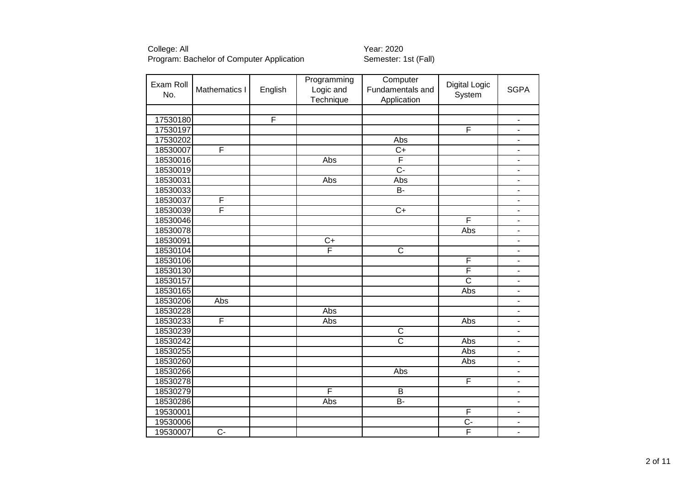College: All<br>Program: Bachelor of Computer Application **The Semeter: Wear: 2020**<br>
Semester: 1st (Fall) Program: Bachelor of Computer Application

| Exam Roll<br>No. | Mathematics I    | English | Programming<br>Logic and<br>Technique | Computer<br>Fundamentals and<br>Application | <b>Digital Logic</b><br>System | <b>SGPA</b>                  |
|------------------|------------------|---------|---------------------------------------|---------------------------------------------|--------------------------------|------------------------------|
|                  |                  |         |                                       |                                             |                                |                              |
| 17530180         |                  | F       |                                       |                                             |                                | $\blacksquare$               |
| 17530197         |                  |         |                                       |                                             | F                              | $\overline{\phantom{a}}$     |
| 17530202         |                  |         |                                       | Abs                                         |                                | $\blacksquare$               |
| 18530007         | F                |         |                                       | $\overline{C+}$                             |                                | $\overline{\phantom{0}}$     |
| 18530016         |                  |         | Abs                                   | F                                           |                                | $\qquad \qquad \blacksquare$ |
| 18530019         |                  |         |                                       | $\overline{C}$ -                            |                                | $\overline{\phantom{0}}$     |
| 18530031         |                  |         | Abs                                   | Abs                                         |                                | $\qquad \qquad \blacksquare$ |
| 18530033         |                  |         |                                       | $\overline{B}$ -                            |                                | $\overline{\phantom{0}}$     |
| 18530037         | F                |         |                                       |                                             |                                | $\overline{\phantom{m}}$     |
| 18530039         | F                |         |                                       | $\overline{C+}$                             |                                | $\blacksquare$               |
| 18530046         |                  |         |                                       |                                             | F                              | $\qquad \qquad \blacksquare$ |
| 18530078         |                  |         |                                       |                                             | Abs                            | $\blacksquare$               |
| 18530091         |                  |         | $\overline{C}$                        |                                             |                                | $\overline{a}$               |
| 18530104         |                  |         | F                                     | $\overline{\text{c}}$                       |                                | ÷.                           |
| 18530106         |                  |         |                                       |                                             | F                              | ٠                            |
| 18530130         |                  |         |                                       |                                             | F                              | $\overline{\phantom{m}}$     |
| 18530157         |                  |         |                                       |                                             | $\overline{\text{c}}$          | $\overline{\phantom{m}}$     |
| 18530165         |                  |         |                                       |                                             | Abs                            | $\blacksquare$               |
| 18530206         | Abs              |         |                                       |                                             |                                | ÷,                           |
| 18530228         |                  |         | Abs                                   |                                             |                                | $\overline{a}$               |
| 18530233         | F                |         | Abs                                   |                                             | Abs                            | $\overline{\phantom{a}}$     |
| 18530239         |                  |         |                                       | C                                           |                                | ÷.                           |
| 18530242         |                  |         |                                       | $\overline{\text{c}}$                       | Abs                            | $\overline{a}$               |
| 18530255         |                  |         |                                       |                                             | Abs                            | $\qquad \qquad \blacksquare$ |
| 18530260         |                  |         |                                       |                                             | Abs                            | $\qquad \qquad \blacksquare$ |
| 18530266         |                  |         |                                       | Abs                                         |                                | $\qquad \qquad \blacksquare$ |
| 18530278         |                  |         |                                       |                                             | F                              | $\overline{\phantom{m}}$     |
| 18530279         |                  |         | F                                     | B                                           |                                | $\overline{\phantom{a}}$     |
| 18530286         |                  |         | Abs                                   | <b>B-</b>                                   |                                | $\overline{\phantom{m}}$     |
| 19530001         |                  |         |                                       |                                             | F                              | $\blacksquare$               |
| 19530006         |                  |         |                                       |                                             | $\overline{C}$                 | $\overline{\phantom{0}}$     |
| 19530007         | $\overline{C}$ - |         |                                       |                                             | F                              | $\overline{a}$               |
|                  |                  |         |                                       |                                             |                                |                              |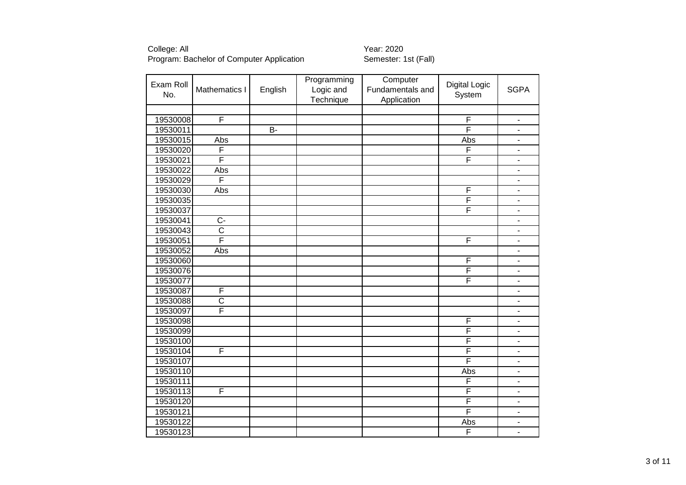College: All<br>Program: Bachelor of Computer Application **1998** Year: 2020<br>Semester: 1st (Fall) Program: Bachelor of Computer Application

Exam Roll  $N_{\text{O}}$  Mathematics I English Programming Logic and **Technique Computer** Fundamentals and Application Digital Logic gital Logic<br>System SGPA 19530008 F F - 19530011 B- F - 19530015 Abs Abs - 19530020 F | | | | | | | | F | -19530021 F | | | | | | | | F | -19530022 Abs - 19530029 F - 19530030| Abs | | | | | | | | | | | | | 19530035 F - 19530037 F - 19530041 C- - 19530043 C - 19530051 F | | | | | | | | F | -19530052 Abs - 19530060 F - 19530076 F - 19530077 F - 19530087 F - 19530088 C | | | | | | | | | | | | | 19530097 F - 19530098 F - 19530099 F - 19530100 F - 19530104 F | | | | | | | F | -19530107 F - 19530110 Abs - 19530111 F - 19530113 F | | | | | | | | F | -19530120 F - 19530121 F - 19530122 | | | | | Abs | -19530123 F -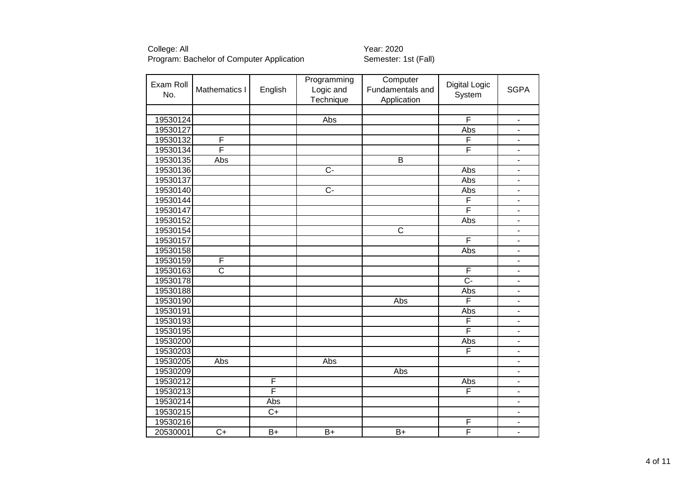| Exam Roll |                       |         | Programming    | Computer         | <b>Digital Logic</b> |                              |
|-----------|-----------------------|---------|----------------|------------------|----------------------|------------------------------|
| No.       | Mathematics I         | English | Logic and      | Fundamentals and | System               | <b>SGPA</b>                  |
|           |                       |         | Technique      | Application      |                      |                              |
|           |                       |         |                |                  |                      |                              |
| 19530124  |                       |         | Abs            |                  | F                    | $\overline{\phantom{a}}$     |
| 19530127  |                       |         |                |                  | Abs                  | $\qquad \qquad \blacksquare$ |
| 19530132  | F                     |         |                |                  | F                    | $\overline{\phantom{a}}$     |
| 19530134  | F                     |         |                |                  | F                    | $\frac{1}{2}$                |
| 19530135  | Abs                   |         |                | $\overline{B}$   |                      | $\blacksquare$               |
| 19530136  |                       |         | $\overline{C}$ |                  | Abs                  | $\overline{\phantom{a}}$     |
| 19530137  |                       |         |                |                  | Abs                  | $\overline{\phantom{a}}$     |
| 19530140  |                       |         | $\overline{C}$ |                  | Abs                  |                              |
| 19530144  |                       |         |                |                  | F                    |                              |
| 19530147  |                       |         |                |                  | F                    | $\overline{a}$               |
| 19530152  |                       |         |                |                  | Abs                  | $\overline{\phantom{a}}$     |
| 19530154  |                       |         |                | $\overline{C}$   |                      | $\blacksquare$               |
| 19530157  |                       |         |                |                  | F                    | $\blacksquare$               |
| 19530158  |                       |         |                |                  | Abs                  | $\qquad \qquad \blacksquare$ |
| 19530159  | F                     |         |                |                  |                      | $\blacksquare$               |
| 19530163  | $\overline{\text{c}}$ |         |                |                  | F                    | $\blacksquare$               |
| 19530178  |                       |         |                |                  | $\overline{C}$ -     | $\blacksquare$               |
| 19530188  |                       |         |                |                  | Abs                  |                              |
| 19530190  |                       |         |                | Abs              | F                    |                              |
| 19530191  |                       |         |                |                  | Abs                  |                              |
| 19530193  |                       |         |                |                  | F                    | $\blacksquare$               |
| 19530195  |                       |         |                |                  | F                    | $\blacksquare$               |
| 19530200  |                       |         |                |                  | Abs                  | $\overline{\phantom{a}}$     |
| 19530203  |                       |         |                |                  | F                    | $\overline{\phantom{0}}$     |
| 19530205  | Abs                   |         | Abs            |                  |                      | $\blacksquare$               |
| 19530209  |                       |         |                | Abs              |                      | $\qquad \qquad \blacksquare$ |
| 19530212  |                       | F       |                |                  | Abs                  | $\qquad \qquad \blacksquare$ |
| 19530213  |                       | F       |                |                  | F                    | $\overline{\phantom{0}}$     |
| 19530214  |                       | Abs     |                |                  |                      | $\blacksquare$               |
| 19530215  |                       | $C+$    |                |                  |                      | $\overline{\phantom{a}}$     |
| 19530216  |                       |         |                |                  | F                    | $\blacksquare$               |
| 20530001  | $\overline{C}$        | $B+$    | $B+$           | $B+$             | F                    | $\overline{\phantom{a}}$     |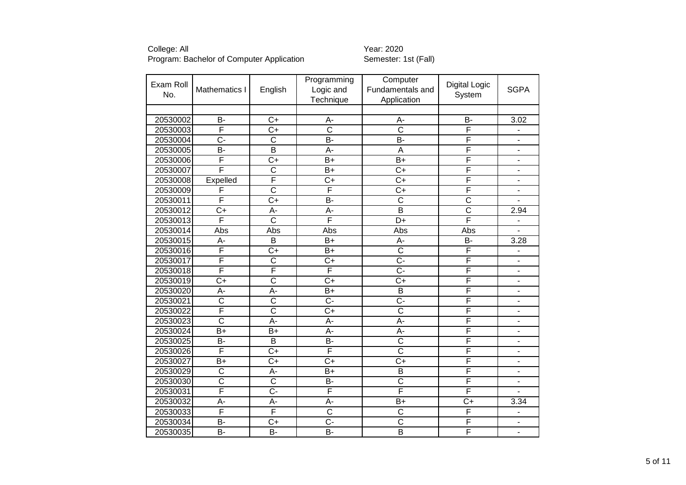| Exam Roll |                       |                         | Programming           | Computer                |                       |                              |
|-----------|-----------------------|-------------------------|-----------------------|-------------------------|-----------------------|------------------------------|
|           | Mathematics I         | English                 | Logic and             | Fundamentals and        | <b>Digital Logic</b>  | <b>SGPA</b>                  |
| No.       |                       |                         | Technique             | Application             | System                |                              |
|           |                       |                         |                       |                         |                       |                              |
| 20530002  | <b>B-</b>             | $C+$                    | A-                    | A-                      | B-                    | 3.02                         |
| 20530003  | F                     | $C+$                    | $\overline{\text{c}}$ | $\overline{\text{c}}$   | F                     | $\blacksquare$               |
| 20530004  | $\overline{C}$ -      | $\overline{C}$          | <b>B-</b>             | B-                      | F                     | $\blacksquare$               |
| 20530005  | B-                    | $\overline{\mathsf{B}}$ | A-                    | A                       | F                     | $\blacksquare$               |
| 20530006  | F                     | $\overline{C+}$         | $\overline{B+}$       | $\overline{B+}$         | F                     | $\blacksquare$               |
| 20530007  | F                     | $\overline{\text{c}}$   | $B+$                  | $\overline{C}$          | F                     | $\blacksquare$               |
| 20530008  | Expelled              | F                       | $\overline{C+}$       | $\overline{C+}$         | F                     |                              |
| 20530009  | F                     | $\overline{\text{c}}$   | F                     | $\overline{C}$          | F                     | $\overline{\phantom{a}}$     |
| 20530011  | F                     | $\overline{C+}$         | B-                    | $\overline{\text{c}}$   | $\overline{\text{c}}$ |                              |
| 20530012  | $\overline{C+}$       | $\overline{A}$ -        | $\overline{A}$ -      | $\overline{\mathsf{B}}$ | $\overline{\text{c}}$ | 2.94                         |
| 20530013  | F                     | $\overline{\text{c}}$   | F                     | $\overline{D+}$         | F                     | $\blacksquare$               |
| 20530014  | Abs                   | Abs                     | Abs                   | Abs                     | Abs                   |                              |
| 20530015  | A-                    | $\overline{B}$          | $\overline{B}$        | $\overline{A}$ -        | B-                    | 3.28                         |
| 20530016  | F                     | $\overline{C+}$         | $\overline{B+}$       | $\overline{\text{c}}$   | F                     | $\blacksquare$               |
| 20530017  | F                     | $\overline{\text{c}}$   | $\overline{C+}$       | $\overline{C}$ -        | F                     | $\blacksquare$               |
| 20530018  | F                     | F                       | F                     | $\overline{C}$ -        | F                     | $\overline{\phantom{a}}$     |
| 20530019  | $\overline{C+}$       | $\overline{\text{c}}$   | $\overline{C+}$       | $\overline{C+}$         | F                     | $\overline{\phantom{a}}$     |
| 20530020  | A-                    | A-                      | $B+$                  | B                       | F                     | $\overline{\phantom{m}}$     |
| 20530021  | $\overline{\text{c}}$ | $\overline{\text{c}}$   | $\overline{C}$ -      | $\overline{C}$ -        | F                     | $\blacksquare$               |
| 20530022  | F                     | $\overline{\text{c}}$   | $\overline{C+}$       | $\overline{\text{c}}$   | F                     |                              |
| 20530023  | $\overline{\text{c}}$ | A-                      | A-                    | A-                      | F                     | $\overline{\phantom{a}}$     |
| 20530024  | $\overline{B+}$       | $\overline{B+}$         | $\overline{A}$        | A-                      | Ē                     | $\blacksquare$               |
| 20530025  | <b>B-</b>             | B                       | <b>B-</b>             | $\overline{\text{C}}$   | F                     | ÷,                           |
| 20530026  | F                     | $\overline{C}$          | F                     | $\overline{\text{c}}$   | F                     | $\blacksquare$               |
| 20530027  | $B+$                  | $\overline{C}$          | $\overline{C+}$       | $\overline{C+}$         | F                     | $\blacksquare$               |
| 20530029  | C                     | A-                      | B+                    | B                       | F                     | $\qquad \qquad \blacksquare$ |
| 20530030  | $\overline{\text{c}}$ | $\overline{\text{c}}$   | <b>B-</b>             | $\overline{\text{c}}$   | F                     | $\qquad \qquad \blacksquare$ |
| 20530031  | F                     | $\overline{C}$ -        | F                     | F                       | F                     | $\blacksquare$               |
| 20530032  | $A -$                 | A-                      | A-                    | $B+$                    | $C+$                  | 3.34                         |
| 20530033  | F                     | F                       | $\overline{\text{c}}$ | $\overline{\text{c}}$   | F                     |                              |
| 20530034  | $\overline{B}$        | $\overline{C+}$         | $\overline{C}$ -      | $\overline{\text{c}}$   | F                     | ÷,                           |
| 20530035  | B-                    | $\overline{B}$          | <b>B-</b>             | $\overline{\mathsf{B}}$ | F                     |                              |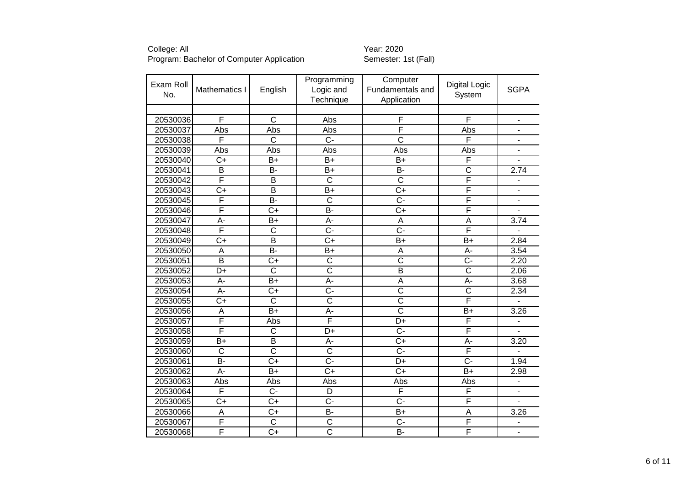|           |                         |                         | Programming           | Computer              |                       |                              |
|-----------|-------------------------|-------------------------|-----------------------|-----------------------|-----------------------|------------------------------|
| Exam Roll | Mathematics I           | English                 | Logic and             | Fundamentals and      | <b>Digital Logic</b>  | <b>SGPA</b>                  |
| No.       |                         |                         | Technique             | Application           | System                |                              |
|           |                         |                         |                       |                       |                       |                              |
| 20530036  | F                       | $\overline{\text{c}}$   | Abs                   | F                     | F                     | $\overline{\phantom{a}}$     |
| 20530037  | Abs                     | Abs                     | Abs                   | F                     | Abs                   | $\overline{\phantom{0}}$     |
| 20530038  | F                       | $\overline{\text{c}}$   | $\overline{C}$ -      | $\overline{\text{c}}$ | F                     | $\blacksquare$               |
| 20530039  | Abs                     | Abs                     | Abs                   | Abs                   | Abs                   | $\overline{\phantom{a}}$     |
| 20530040  | $\overline{C+}$         | $B+$                    | $\overline{B+}$       | $\overline{B+}$       | F                     | $\overline{\phantom{a}}$     |
| 20530041  | $\overline{\mathsf{B}}$ | $\overline{B}$          | $\overline{B}$        | $B -$                 | $\overline{\text{c}}$ | 2.74                         |
| 20530042  | F                       | $\overline{\mathsf{B}}$ | $\overline{\text{c}}$ | $\overline{\text{c}}$ | F                     |                              |
| 20530043  | $\overline{C}$          | $\overline{\mathsf{B}}$ | B+                    | $\overline{C}$        | F                     | ÷,                           |
| 20530045  | F                       | B-                      | $\overline{\text{c}}$ | <del>.</del>          | F                     | $\blacksquare$               |
| 20530046  | F                       | $\overline{C+}$         | $\overline{B}$        | $\overline{C+}$       | F                     |                              |
| 20530047  | $\overline{A}$ -        | $\overline{B+}$         | A-                    | A                     | $\overline{A}$        | 3.74                         |
| 20530048  | F                       | $\overline{\text{c}}$   | $\overline{C}$ -      | $\overline{C}$ -      | F                     | $\qquad \qquad \blacksquare$ |
| 20530049  | $\overline{C+}$         | $\overline{\mathsf{B}}$ | $\overline{C+}$       | $\overline{B+}$       | $\overline{B+}$       | 2.84                         |
| 20530050  | A                       | $\overline{B}$          | $B+$                  | A                     | A-                    | 3.54                         |
| 20530051  | $\overline{\mathsf{B}}$ | $\overline{C+}$         | $\overline{\text{c}}$ | $\overline{\text{c}}$ | <del>.</del>          | 2.20                         |
| 20530052  | $\overline{D+}$         | $\overline{\mathsf{C}}$ | $\overline{\text{c}}$ | B                     | $\overline{\text{c}}$ | 2.06                         |
| 20530053  | $\overline{A}$          | $\overline{B+}$         | А-                    | A                     | $\overline{A}$ -      | 3.68                         |
| 20530054  | $\overline{A}$ -        | $\overline{C}$          | $\overline{C}$ -      | $\overline{\text{c}}$ | $\overline{\text{c}}$ | 2.34                         |
| 20530055  | $\overline{C+}$         | $\overline{\text{c}}$   | $\overline{\text{c}}$ | $\overline{\text{c}}$ | F                     |                              |
| 20530056  | A                       | $B+$                    | A-                    | $\overline{\text{c}}$ | $B+$                  | 3.26                         |
| 20530057  | F                       | Abs                     | F                     | D+                    | F                     |                              |
| 20530058  | F                       | $\overline{C}$          | D+                    | $\overline{C}$        | F                     |                              |
| 20530059  | $B+$                    | $\overline{B}$          | A-                    | $C+$                  | A-                    | 3.20                         |
| 20530060  | $\overline{\text{c}}$   | $\overline{\text{c}}$   | $\overline{\text{c}}$ | $\overline{C}$ -      | F                     |                              |
| 20530061  | $\overline{B}$          | $\overline{C+}$         | $\overline{C}$ -      | D+                    | $\overline{C}$ -      | 1.94                         |
| 20530062  | A-                      | $B+$                    | $C+$                  | $C+$                  | $B+$                  | 2.98                         |
| 20530063  | Abs                     | Abs                     | Abs                   | Abs                   | Abs                   | $\blacksquare$               |
| 20530064  | F                       | $\overline{C}$          | D                     | F                     | F                     | $\blacksquare$               |
| 20530065  | $C+$                    | $C+$                    | $C -$                 | $\overline{C}$        | F                     | $\overline{a}$               |
| 20530066  | $\overline{A}$          | $\overline{C}$          | <b>B-</b>             | $B+$                  | $\overline{A}$        | 3.26                         |
| 20530067  | F                       | $\overline{\text{c}}$   | $\overline{\text{c}}$ | $\overline{C}$        | F                     |                              |
| 20530068  | F                       | $\overline{C+}$         | $\overline{\text{c}}$ | B-                    | F                     | $\overline{\phantom{0}}$     |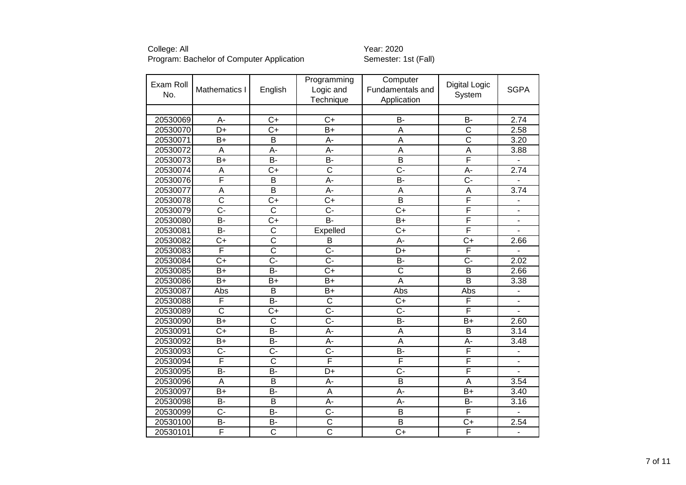|           |                         |                         | Programming               | Computer                |                         |                              |
|-----------|-------------------------|-------------------------|---------------------------|-------------------------|-------------------------|------------------------------|
| Exam Roll | Mathematics I           | English                 | Logic and                 | Fundamentals and        | <b>Digital Logic</b>    | <b>SGPA</b>                  |
| No.       |                         |                         | Technique                 | Application             | System                  |                              |
|           |                         |                         |                           |                         |                         |                              |
| 20530069  | A-                      | $\overline{C+}$         | $\overline{C+}$           | B-                      | B-                      | 2.74                         |
| 20530070  | $\overline{D}$ +        | $\overline{C+}$         | $B+$                      | A                       | $\overline{\text{c}}$   | 2.58                         |
| 20530071  | $B+$                    | $\overline{B}$          | A-                        | $\overline{\mathsf{A}}$ | $\overline{\text{c}}$   | 3.20                         |
| 20530072  | A                       | A-                      | A-                        | A                       | A                       | 3.88                         |
| 20530073  | $\overline{B+}$         | $\overline{B}$          | $\overline{B}$            | $\overline{\mathsf{B}}$ | F                       |                              |
| 20530074  | $\overline{A}$          | $\overline{C+}$         | $\overline{\text{c}}$     | $\overline{C}$ -        | A-                      | 2.74                         |
| 20530076  | F                       | $\overline{B}$          | A-                        | $\overline{B}$          | $\overline{C}$ -        |                              |
| 20530077  | $\overline{\mathsf{A}}$ | $\overline{\mathsf{B}}$ | $\overline{A}$ -          | $\overline{A}$          | $\overline{\mathsf{A}}$ | 3.74                         |
| 20530078  | $\overline{\text{c}}$   | $\overline{C}$          | $\overline{C+}$           | $\overline{\mathsf{B}}$ | F                       |                              |
| 20530079  | $\overline{C}$ -        | $\overline{\text{c}}$   | $\overline{C}$ -          | $\overline{C+}$         | F                       | $\sim$                       |
| 20530080  | $\overline{B}$          | $\overline{C+}$         | $\overline{B}$            | $\overline{B}$          | F                       | $\blacksquare$               |
| 20530081  | $\overline{B}$          | $\overline{\text{c}}$   | Expelled                  | $\overline{C+}$         | F                       |                              |
| 20530082  | $\overline{C+}$         | $\overline{\text{c}}$   | $\overline{B}$            | $\overline{A}$ -        | $\overline{C+}$         | 2.66                         |
| 20530083  | F                       | $\overline{\text{c}}$   | $\overline{C}$ -          | $\overline{D+}$         | F                       | $\overline{\phantom{0}}$     |
| 20530084  | $\overline{C+}$         | $\overline{C}$ -        | $\overline{C}$ -          | B-                      | $\overline{C}$ -        | 2.02                         |
| 20530085  | $\overline{B+}$         | $\overline{B}$          | $\overline{C+}$           | $\overline{\text{c}}$   | $\overline{\mathsf{B}}$ | 2.66                         |
| 20530086  | $\overline{B+}$         | $\overline{B+}$         | $\overline{B+}$           | $\overline{\mathsf{A}}$ | $\overline{\mathsf{B}}$ | 3.38                         |
| 20530087  | Abs                     | B                       | $B+$                      | Abs                     | Abs                     | ÷,                           |
| 20530088  | F                       | $\overline{B}$          | $\overline{\text{c}}$     | $\overline{C}$          | F                       | $\frac{1}{2}$                |
| 20530089  | $\overline{\text{c}}$   | $\overline{C+}$         | C-                        | $\overline{C}$          | F                       |                              |
| 20530090  | $B+$                    | $\overline{\text{c}}$   | C-                        | B-                      | $B+$                    | 2.60                         |
| 20530091  | $C+$                    | <b>B-</b>               | A-                        | A                       | $\overline{B}$          | 3.14                         |
| 20530092  | $B+$                    | $\overline{B}$          | A-                        | $\overline{\mathsf{A}}$ | $\overline{A}$ -        | 3.48                         |
| 20530093  | $\overline{C}$          | $\overline{C}$ -        | $\overline{C}$ -          | $\overline{B}$          | F                       | $\blacksquare$               |
| 20530094  | F                       | $\overline{C}$          | F                         | F                       | F                       | $\qquad \qquad \blacksquare$ |
| 20530095  | $\overline{B}$          | $\overline{B}$          | $\overline{\mathsf{D}^+}$ | $\overline{C}$ -        | $\overline{\mathsf{F}}$ |                              |
| 20530096  | A                       | $\overline{B}$          | A-                        | $\overline{B}$          | A                       | 3.54                         |
| 20530097  | $B+$                    | <b>B-</b>               | $\overline{A}$            | A-                      | $B+$                    | 3.40                         |
| 20530098  | <b>B-</b>               | B                       | A-                        | A-                      | <b>B-</b>               | 3.16                         |
| 20530099  | $\overline{C}$          | $\overline{B}$          | C-                        | $\overline{B}$          | F                       |                              |
| 20530100  | $\overline{B}$          | $\overline{B}$          | $\overline{C}$            | $\overline{B}$          | $\overline{C}$          | 2.54                         |
| 20530101  | F                       | $\overline{\text{c}}$   | $\overline{\text{c}}$     | $\overline{C+}$         | $\overline{\mathsf{F}}$ | $\overline{a}$               |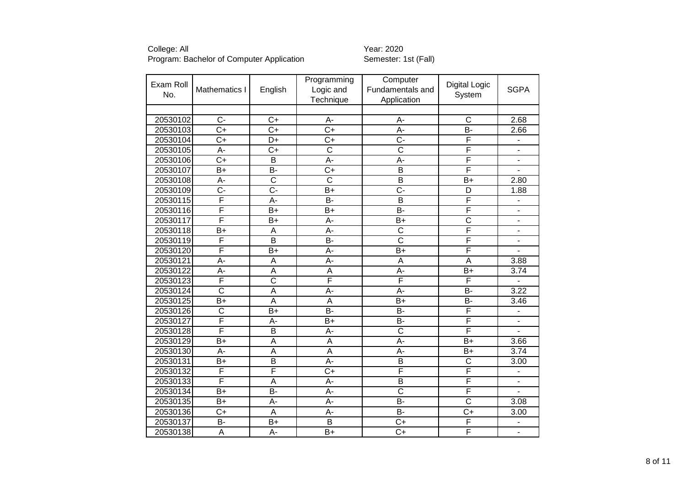|           |                       |                         | Programming           | Computer                |                       |                              |
|-----------|-----------------------|-------------------------|-----------------------|-------------------------|-----------------------|------------------------------|
| Exam Roll | Mathematics I         | English                 | Logic and             | Fundamentals and        | <b>Digital Logic</b>  | <b>SGPA</b>                  |
| No.       |                       |                         | Technique             | Application             | System                |                              |
|           |                       |                         |                       |                         |                       |                              |
| 20530102  | $\overline{C}$        | $C+$                    | $A -$                 | $A -$                   | $\overline{\text{c}}$ | 2.68                         |
| 20530103  | $C+$                  | $C+$                    | $C+$                  | A-                      | B-                    | 2.66                         |
| 20530104  | $\overline{C+}$       | $\overline{D+}$         | $\overline{C+}$       | <u>ក</u>                | F                     | $\blacksquare$               |
| 20530105  | $\overline{A}$ -      | $\overline{C+}$         | $\overline{\text{c}}$ | $\overline{\text{c}}$   | F                     | $\blacksquare$               |
| 20530106  | $\overline{C+}$       | $\overline{B}$          | A-                    | A-                      | F                     | $\overline{\phantom{a}}$     |
| 20530107  | $\overline{B+}$       | $\overline{B}$          | $\overline{C+}$       | $\overline{\mathsf{B}}$ | F                     |                              |
| 20530108  | $\overline{A}$        | $\overline{\text{c}}$   | $\overline{\text{c}}$ | $\overline{\mathsf{B}}$ | $\overline{B}$        | 2.80                         |
| 20530109  | $\overline{C}$        | $\overline{C}$ -        | $B+$                  | $\overline{C}$ -        | $\overline{D}$        | 1.88                         |
| 20530115  | F                     | $A -$                   | $\overline{B}$        | $\overline{\mathsf{B}}$ | F                     | $\overline{\phantom{0}}$     |
| 20530116  | F                     | $\overline{B}$          | $\overline{B+}$       | $\overline{B}$          | F                     | $\blacksquare$               |
| 20530117  | F                     | $\overline{B+}$         | A-                    | $\overline{B+}$         | $\overline{\text{c}}$ | $\overline{\phantom{a}}$     |
| 20530118  | $\overline{B+}$       | $\overline{A}$          | $A -$                 | $\overline{\text{c}}$   | F                     | $\blacksquare$               |
| 20530119  | F                     | $\overline{\mathsf{B}}$ | $\overline{B}$        | $\overline{\text{c}}$   | F                     | $\qquad \qquad \blacksquare$ |
| 20530120  | F                     | $B+$                    | A-                    | $B+$                    | F                     | $\overline{\phantom{0}}$     |
| 20530121  | $A -$                 | $\overline{A}$          | $A -$                 | $\overline{A}$          | $\overline{A}$        | 3.88                         |
| 20530122  | $\overline{A}$        | A                       | A                     | A-                      | $\overline{B+}$       | 3.74                         |
| 20530123  | F                     | $\overline{\text{c}}$   | F                     | F                       | F                     | ÷,                           |
| 20530124  | $\overline{\text{c}}$ | A                       | A-                    | A-                      | $\overline{B}$        | 3.22                         |
| 20530125  | $B+$                  | $\overline{A}$          | $\overline{A}$        | $B+$                    | $\overline{B}$        | 3.46                         |
| 20530126  | $\overline{\text{c}}$ | $B+$                    | $\overline{B}$        | B-                      | F                     |                              |
| 20530127  | F                     | A-                      | $B+$                  | <b>B-</b>               | F                     | $\overline{\phantom{a}}$     |
| 20530128  | F                     | $\overline{B}$          | $A -$                 | $\overline{\text{C}}$   | F                     |                              |
| 20530129  | $B+$                  | A                       | A                     | A-                      | $B+$                  | 3.66                         |
| 20530130  | A-                    | A                       | A                     | A-                      | $B+$                  | 3.74                         |
| 20530131  | $B+$                  | $\overline{B}$          | A-                    | B                       | $\overline{\text{c}}$ | 3.00                         |
| 20530132  | F                     | $\overline{\mathsf{F}}$ | $\overline{C+}$       | F                       | F                     | $\blacksquare$               |
| 20530133  | F                     | A                       | A-                    | $\overline{B}$          | F                     | $\blacksquare$               |
| 20530134  | $B+$                  | $\overline{B}$          | A-                    | $\overline{\text{C}}$   | F                     |                              |
| 20530135  | $B+$                  | A-                      | A-                    | B-                      | $\overline{\text{c}}$ | 3.08                         |
| 20530136  | $\overline{C}$        | $\overline{A}$          | A-                    | <b>B-</b>               | $\overline{C+}$       | 3.00                         |
| 20530137  | $\overline{B}$        | $B+$                    | $\overline{B}$        | $\overline{C+}$         | F                     |                              |
| 20530138  | A                     | A-                      | $B+$                  | $\overline{C+}$         | F                     | $\blacksquare$               |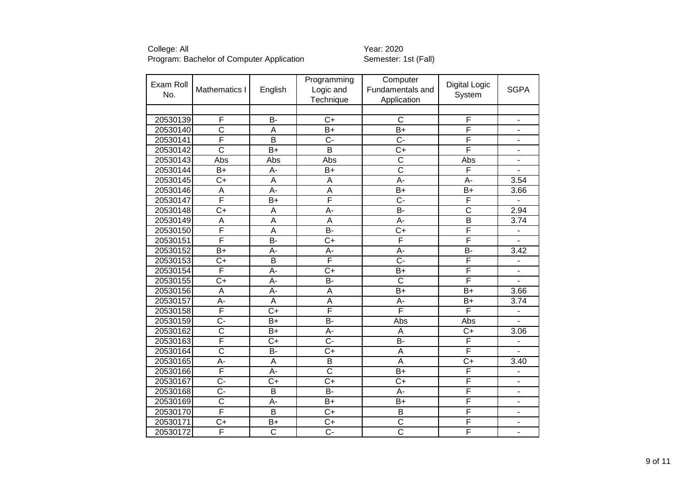| Exam Roll<br>No. | Mathematics I           | English                 | Programming<br>Logic and | Computer<br>Fundamentals and | <b>Digital Logic</b><br>System | <b>SGPA</b>                  |
|------------------|-------------------------|-------------------------|--------------------------|------------------------------|--------------------------------|------------------------------|
|                  |                         |                         | Technique                | Application                  |                                |                              |
|                  |                         |                         |                          |                              |                                |                              |
| 20530139         | F                       | <b>B-</b>               | $\overline{C+}$          | $\overline{\text{c}}$        | F                              | $\overline{\phantom{0}}$     |
| 20530140         | $\overline{\text{c}}$   | A                       | $B+$                     | $B+$                         | F                              | $\overline{\phantom{a}}$     |
| 20530141         | F                       | $\overline{B}$          | $\overline{C}$           | $\overline{C}$ -             | F                              | $\overline{\phantom{0}}$     |
| 20530142         | $\overline{\mathsf{C}}$ | $\overline{B+}$         | $\overline{\mathsf{B}}$  | $\overline{C}$               | F                              | ۰                            |
| 20530143         | Abs                     | Abs                     | Abs                      | $\overline{\text{c}}$        | Abs                            | ÷.                           |
| 20530144         | $\overline{B}$          | $\overline{A}$ -        | $\overline{B+}$          | $\overline{\text{c}}$        | F                              |                              |
| 20530145         | $\overline{C}$          | $\overline{\mathsf{A}}$ | A                        | A-                           | $A -$                          | 3.54                         |
| 20530146         | $\overline{A}$          | A-                      | $\overline{\mathsf{A}}$  | $\overline{B+}$              | $\overline{B}$                 | 3.66                         |
| 20530147         | F                       | $\overline{B}$          | F                        | $\overline{C}$ -             | F                              |                              |
| 20530148         | $\overline{C+}$         | $\overline{A}$          | A-                       | $\overline{B}$               | $\overline{\text{c}}$          | 2.94                         |
| 20530149         | $\overline{A}$          | $\overline{\mathsf{A}}$ | $\overline{\mathsf{A}}$  | $\overline{A}$ -             | $\overline{\mathsf{B}}$        | 3.74                         |
| 20530150         | F                       | $\overline{A}$          | $\overline{B}$           | $\overline{C+}$              | F                              | $\overline{\phantom{a}}$     |
| 20530151         | F                       | $\overline{B}$          | $\overline{C+}$          | F                            | F                              |                              |
| 20530152         | $\overline{B+}$         | A-                      | A-                       | $\overline{A}$ -             | $\overline{B}$                 | 3.42                         |
| 20530153         | $\overline{C+}$         | $\overline{\mathsf{B}}$ | F                        | $\overline{\mathbb{C}}$ -    | F                              | $\qquad \qquad \blacksquare$ |
| 20530154         | F                       | A-                      | $\overline{C+}$          | $B+$                         | F                              | $\overline{a}$               |
| 20530155         | $\overline{C+}$         | $A -$                   | $\overline{B}$           | $\overline{\text{c}}$        | F                              | ÷.                           |
| 20530156         | A                       | A-                      | A                        | $B+$                         | $B+$                           | 3.66                         |
| 20530157         | $\overline{A}$ -        | $\overline{A}$          | $\overline{\mathsf{A}}$  | A-                           | $B+$                           | 3.74                         |
| 20530158         | F                       | $\overline{C}$          | F                        | F                            | F                              |                              |
| 20530159         | $\overline{C}$ -        | $B+$                    | $\overline{B}$           | Abs                          | Abs                            |                              |
| 20530162         | $\overline{\text{c}}$   | $B+$                    | A-                       | A                            | $\overline{C}$                 | 3.06                         |
| 20530163         | F                       | $C+$                    | C-                       | B-                           | F                              |                              |
| 20530164         | $\overline{\text{c}}$   | <b>B-</b>               | $\overline{C+}$          | A                            | F                              |                              |
| 20530165         | A-                      | A                       | B                        | A                            | $\overline{C}$                 | 3.40                         |
| 20530166         | F                       | A-                      | $\overline{\text{c}}$    | $B+$                         | F                              | $\blacksquare$               |
| 20530167         | $\overline{C}$ -        | $\overline{C+}$         | $C+$                     | $C+$                         | F                              | ۰                            |
| 20530168         | $\overline{C}$          | B                       | B-                       | A-                           | F                              | $\overline{\phantom{a}}$     |
| 20530169         | $\overline{\text{c}}$   | A-                      | $B+$                     | $B+$                         | F                              | $\overline{\phantom{0}}$     |
| 20530170         | F                       | $\overline{B}$          | $C+$                     | B                            | F                              | $\overline{\phantom{0}}$     |
| 20530171         | $\overline{C+}$         | $B+$                    | $C+$                     | $\overline{C}$               | F                              | $\overline{\phantom{0}}$     |
| 20530172         | F                       | $\overline{\text{c}}$   | $\overline{C}$           | $\overline{\text{c}}$        | F                              |                              |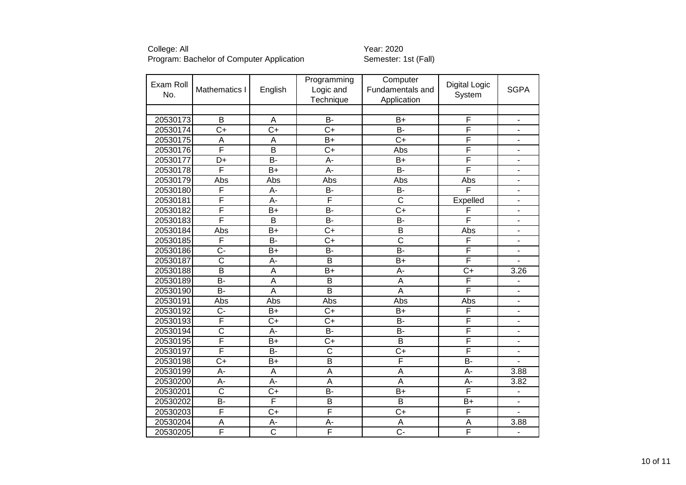|           |                          |                         | Programming             | Computer                |                      |                          |
|-----------|--------------------------|-------------------------|-------------------------|-------------------------|----------------------|--------------------------|
| Exam Roll | Mathematics I            | English                 | Logic and               | Fundamentals and        | <b>Digital Logic</b> | <b>SGPA</b>              |
| No.       |                          |                         | Technique               | Application             | System               |                          |
|           |                          |                         |                         |                         |                      |                          |
| 20530173  | B                        | A                       | $\overline{B}$          | $B+$                    | F                    | $\overline{\phantom{a}}$ |
| 20530174  | $C+$                     | $\overline{C}$          | $\overline{C}$          | <b>B-</b>               | F                    | $\overline{\phantom{a}}$ |
| 20530175  | A                        | A                       | $\overline{B}$          | $\overline{C}$          | F                    | $\blacksquare$           |
| 20530176  | F                        | $\overline{\mathsf{B}}$ | $\overline{C+}$         | Abs                     | F                    | $\overline{\phantom{0}}$ |
| 20530177  | $\overline{\mathsf{D+}}$ | $\overline{B}$          | $\overline{A}$ -        | $\overline{B+}$         | F                    | $\overline{\phantom{0}}$ |
| 20530178  | F                        | $\overline{B+}$         | $\overline{A}$ -        | $\overline{B}$          | F                    | $\blacksquare$           |
| 20530179  | Abs                      | Abs                     | Abs                     | Abs                     | Abs                  | $\overline{\phantom{0}}$ |
| 20530180  | F                        | A-                      | $\overline{B}$          | $\overline{B}$          | F                    | $\blacksquare$           |
| 20530181  | F                        | $\overline{A}$ -        | F                       | $\overline{\text{c}}$   | Expelled             | $\overline{\phantom{0}}$ |
| 20530182  | F                        | $\overline{B}$          | B-                      | $\overline{C+}$         | F                    | $\overline{a}$           |
| 20530183  | F                        | $\overline{\mathsf{B}}$ | $\overline{B}$          | $\overline{B}$          | F                    | $\overline{\phantom{m}}$ |
| 20530184  | Abs                      | $\overline{B+}$         | $\overline{C+}$         | $\overline{B}$          | Abs                  | $\blacksquare$           |
| 20530185  | F                        | B-                      | $\overline{C+}$         | $\overline{\text{c}}$   | F                    | $\blacksquare$           |
| 20530186  | $\overline{C}$           | $\overline{B+}$         | $\overline{B}$          | $\overline{B}$          | F                    | $\blacksquare$           |
| 20530187  | $\overline{\text{c}}$    | A-                      | $\overline{\mathsf{B}}$ | $\overline{B+}$         | F                    | $\blacksquare$           |
| 20530188  | $\overline{B}$           | A                       | $B+$                    | A-                      | $\overline{C+}$      | 3.26                     |
| 20530189  | $\overline{B}$           | $\overline{A}$          | $\overline{\mathsf{B}}$ | $\overline{\mathsf{A}}$ | F                    | $\overline{\phantom{a}}$ |
| 20530190  | $\overline{B}$           | A                       | $\overline{\mathsf{B}}$ | A                       | F                    |                          |
| 20530191  | Abs                      | Abs                     | Abs                     | Abs                     | Abs                  | $\blacksquare$           |
| 20530192  | $\overline{C}$           | $B+$                    | $C+$                    | $B+$                    | F                    | $\overline{\phantom{0}}$ |
| 20530193  | F                        | $C+$                    | $C+$                    | B-                      | F                    | $\blacksquare$           |
| 20530194  | $\overline{\text{c}}$    | $\overline{A}$ -        | $\overline{B}$          | $\overline{B}$          | F                    | $\overline{\phantom{a}}$ |
| 20530195  | F                        | $B+$                    | $C+$                    | B                       | F                    | $\overline{\phantom{a}}$ |
| 20530197  | F                        | $\overline{B}$          | $\overline{\text{c}}$   | $\overline{C+}$         | F                    |                          |
| 20530198  | $\overline{C+}$          | $\overline{B+}$         | $\overline{\mathsf{B}}$ | F                       | $\overline{B}$       |                          |
| 20530199  | A-                       | A                       | A                       | A                       | A-                   | 3.88                     |
| 20530200  | A-                       | A-                      | A                       | A                       | A-                   | 3.82                     |
| 20530201  | $\overline{\text{c}}$    | $\overline{C+}$         | $\overline{B}$          | $B+$                    | F                    | $\blacksquare$           |
| 20530202  | B-                       | F                       | B                       | B                       | B+                   | $\overline{\phantom{0}}$ |
| 20530203  | F                        | $\overline{C+}$         | F                       | $\overline{C+}$         | F                    |                          |
| 20530204  | A                        | A-                      | A-                      | A                       | $\overline{A}$       | 3.88                     |
| 20530205  | F                        | $\overline{\text{c}}$   | F                       | $\overline{C}$          | F                    |                          |